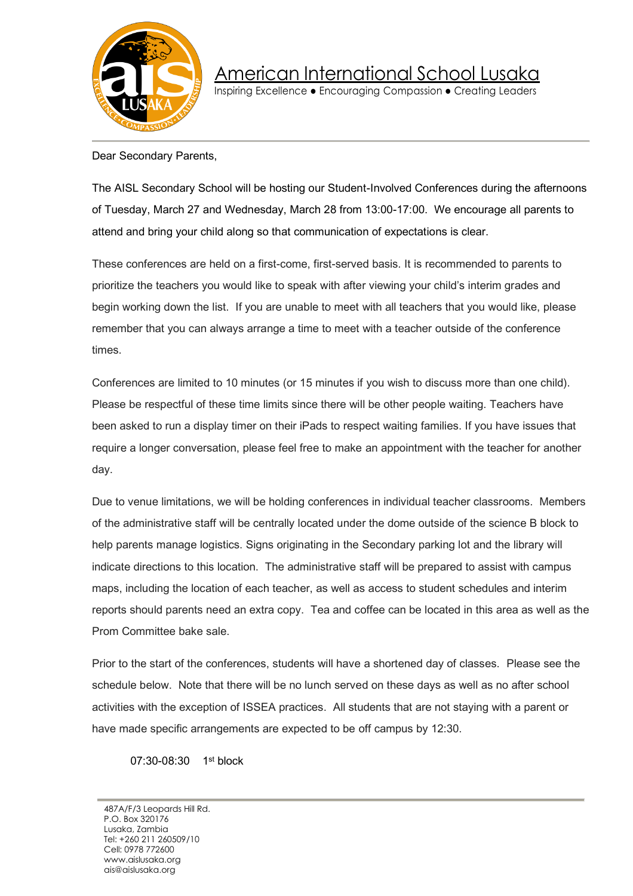

American International School Lusaka

Inspiring Excellence • Encouraging Compassion • Creating Leaders

## Dear Secondary Parents,

The AISL Secondary School will be hosting our Student-Involved Conferences during the afternoons of Tuesday, March 27 and Wednesday, March 28 from 13:00-17:00. We encourage all parents to attend and bring your child along so that communication of expectations is clear.

These conferences are held on a first-come, first-served basis. It is recommended to parents to prioritize the teachers you would like to speak with after viewing your child's interim grades and begin working down the list. If you are unable to meet with all teachers that you would like, please remember that you can always arrange a time to meet with a teacher outside of the conference times.

Conferences are limited to 10 minutes (or 15 minutes if you wish to discuss more than one child). Please be respectful of these time limits since there will be other people waiting. Teachers have been asked to run a display timer on their iPads to respect waiting families. If you have issues that require a longer conversation, please feel free to make an appointment with the teacher for another day.

Due to venue limitations, we will be holding conferences in individual teacher classrooms. Members of the administrative staff will be centrally located under the dome outside of the science B block to help parents manage logistics. Signs originating in the Secondary parking lot and the library will indicate directions to this location. The administrative staff will be prepared to assist with campus maps, including the location of each teacher, as well as access to student schedules and interim reports should parents need an extra copy. Tea and coffee can be located in this area as well as the Prom Committee bake sale.

Prior to the start of the conferences, students will have a shortened day of classes. Please see the schedule below. Note that there will be no lunch served on these days as well as no after school activities with the exception of ISSEA practices. All students that are not staying with a parent or have made specific arrangements are expected to be off campus by 12:30.

07:30-08:30 1st block